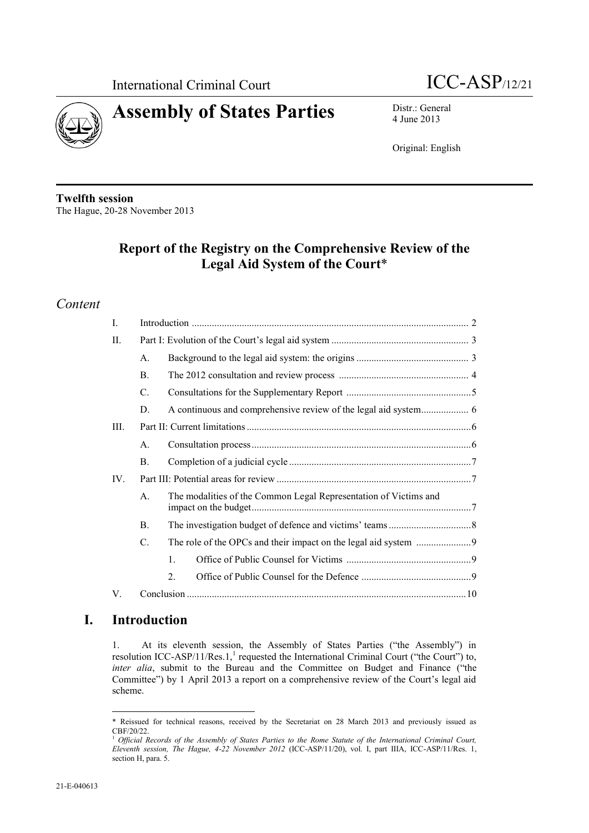



4 June 2013

Original: English

**Twelfth session** The Hague, 20-28 November 2013

## **Report of the Registry on the Comprehensive Review of the Legal Aid System of the Court**\*

## *Content*

| L    |                |                                                                  |  |  |
|------|----------------|------------------------------------------------------------------|--|--|
| П.   |                |                                                                  |  |  |
|      | A.             |                                                                  |  |  |
|      | $\mathbf{B}$ . |                                                                  |  |  |
|      | C.             |                                                                  |  |  |
|      | D.             | A continuous and comprehensive review of the legal aid system 6  |  |  |
| III. |                |                                                                  |  |  |
|      | $A_{\cdot}$    |                                                                  |  |  |
|      | B.             |                                                                  |  |  |
| IV.  |                |                                                                  |  |  |
|      | $\mathsf{A}$   | The modalities of the Common Legal Representation of Victims and |  |  |
|      | Β.             |                                                                  |  |  |
|      | C.             |                                                                  |  |  |
|      |                | $\mathbf{1}$                                                     |  |  |
|      |                | $\overline{2}$ .                                                 |  |  |
| V.   |                |                                                                  |  |  |

## **I. Introduction**

 $\overline{a}$ 

1. At its eleventh session, the Assembly of States Parties ("the Assembly") in resolution ICC-ASP/11/Res.1,<sup>1</sup> requested the International Criminal Court ("the Court") to, *inter alia*, submit to the Bureau and the Committee on Budget and Finance ("the Committee") by 1 April 2013 a report on a comprehensive review of the Court's legal aid scheme.

<sup>\*</sup> Reissued for technical reasons, received by the Secretariat on 28 March 2013 and previously issued as CBF/20/22.

<sup>&</sup>lt;sup>1</sup> Official Records of the Assembly of States Parties to the Rome Statute of the International Criminal Court, *Eleventh session, The Hague, 4-22 November 2012* (ICC-ASP/11/20), vol. I, part IIIA, ICC-ASP/11/Res. 1, section H, para. 5.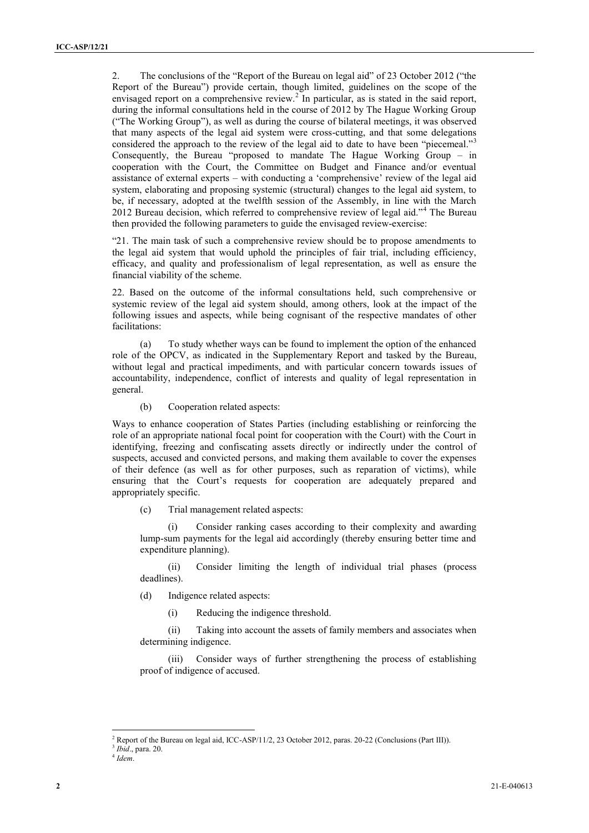<span id="page-1-0"></span>2. The conclusions of the "Report of the Bureau on legal aid" of 23 October 2012 ("the Report of the Bureau") provide certain, though limited, guidelines on the scope of the envisaged report on a comprehensive review.<sup>2</sup> In particular, as is stated in the said report, during the informal consultations held in the course of 2012 by The Hague Working Group ("The Working Group"), as well as during the course of bilateral meetings, it was observed that many aspects of the legal aid system were cross-cutting, and that some delegations considered the approach to the review of the legal aid to date to have been "piecemeal."<sup>3</sup> Consequently, the Bureau "proposed to mandate The Hague Working Group – in cooperation with the Court, the Committee on Budget and Finance and/or eventual assistance of external experts – with conducting a 'comprehensive' review of the legal aid system, elaborating and proposing systemic (structural) changes to the legal aid system, to be, if necessary, adopted at the twelfth session of the Assembly, in line with the March 2012 Bureau decision, which referred to comprehensive review of legal aid."<sup>4</sup> The Bureau then provided the following parameters to guide the envisaged review-exercise:

"21. The main task of such a comprehensive review should be to propose amendments to the legal aid system that would uphold the principles of fair trial, including efficiency, efficacy, and quality and professionalism of legal representation, as well as ensure the financial viability of the scheme.

22. Based on the outcome of the informal consultations held, such comprehensive or systemic review of the legal aid system should, among others, look at the impact of the following issues and aspects, while being cognisant of the respective mandates of other facilitations:

(a) To study whether ways can be found to implement the option of the enhanced role of the OPCV, as indicated in the Supplementary Report and tasked by the Bureau, without legal and practical impediments, and with particular concern towards issues of accountability, independence, conflict of interests and quality of legal representation in general.

(b) Cooperation related aspects:

Ways to enhance cooperation of States Parties (including establishing or reinforcing the role of an appropriate national focal point for cooperation with the Court) with the Court in identifying, freezing and confiscating assets directly or indirectly under the control of suspects, accused and convicted persons, and making them available to cover the expenses of their defence (as well as for other purposes, such as reparation of victims), while ensuring that the Court's requests for cooperation are adequately prepared and appropriately specific.

(c) Trial management related aspects:

Consider ranking cases according to their complexity and awarding lump-sum payments for the legal aid accordingly (thereby ensuring better time and expenditure planning).

(ii) Consider limiting the length of individual trial phases (process deadlines).

(d) Indigence related aspects:

(i) Reducing the indigence threshold.

(ii) Taking into account the assets of family members and associates when determining indigence.

(iii) Consider ways of further strengthening the process of establishing proof of indigence of accused.

<sup>&</sup>lt;sup>2</sup> Report of the Bureau on legal aid, ICC-ASP/11/2, 23 October 2012, paras. 20-22 (Conclusions (Part III)).

<sup>3</sup> *Ibid*., para. 20.

<sup>4</sup> *Idem*.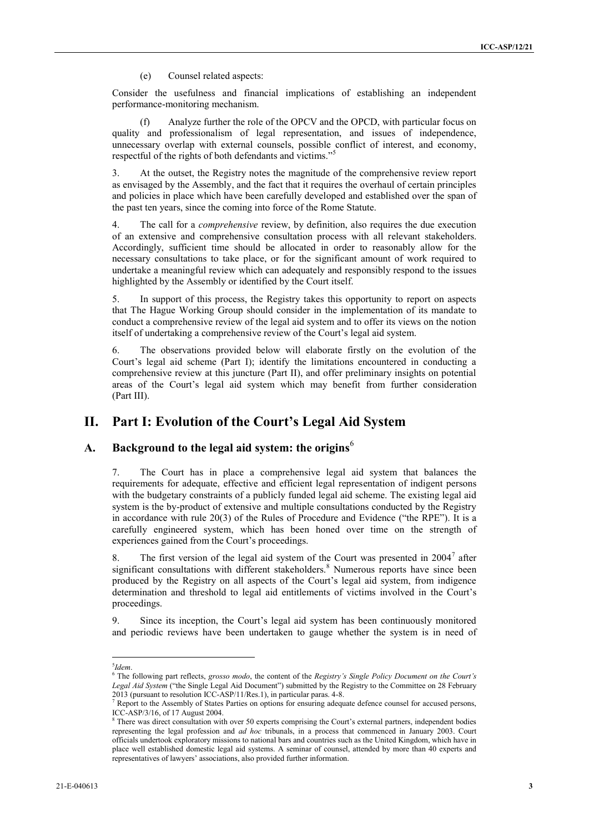(e) Counsel related aspects:

Consider the usefulness and financial implications of establishing an independent performance-monitoring mechanism.

(f) Analyze further the role of the OPCV and the OPCD, with particular focus on quality and professionalism of legal representation, and issues of independence, unnecessary overlap with external counsels, possible conflict of interest, and economy, respectful of the rights of both defendants and victims."<sup>5</sup>

3. At the outset, the Registry notes the magnitude of the comprehensive review report as envisaged by the Assembly, and the fact that it requires the overhaul of certain principles and policies in place which have been carefully developed and established over the span of the past ten years, since the coming into force of the Rome Statute.

4. The call for a *comprehensive* review, by definition, also requires the due execution of an extensive and comprehensive consultation process with all relevant stakeholders. Accordingly, sufficient time should be allocated in order to reasonably allow for the necessary consultations to take place, or for the significant amount of work required to undertake a meaningful review which can adequately and responsibly respond to the issues highlighted by the Assembly or identified by the Court itself.

5. In support of this process, the Registry takes this opportunity to report on aspects that The Hague Working Group should consider in the implementation of its mandate to conduct a comprehensive review of the legal aid system and to offer its views on the notion itself of undertaking a comprehensive review of the Court's legal aid system.

6. The observations provided below will elaborate firstly on the evolution of the Court's legal aid scheme (Part I); identify the limitations encountered in conducting a comprehensive review at this juncture (Part II), and offer preliminary insights on potential areas of the Court's legal aid system which may benefit from further consideration (Part III).

## **II. Part I: Evolution of the Court's Legal Aid System**

#### A. Background to the legal aid system: the origins<sup>6</sup>

<span id="page-2-0"></span>7. The Court has in place a comprehensive legal aid system that balances the requirements for adequate, effective and efficient legal representation of indigent persons with the budgetary constraints of a publicly funded legal aid scheme. The existing legal aid system is the by-product of extensive and multiple consultations conducted by the Registry in accordance with rule 20(3) of the Rules of Procedure and Evidence ("the RPE"). It is a carefully engineered system, which has been honed over time on the strength of experiences gained from the Court's proceedings.

8. The first version of the legal aid system of the Court was presented in  $2004^7$  after significant consultations with different stakeholders.<sup>8</sup> Numerous reports have since been produced by the Registry on all aspects of the Court's legal aid system, from indigence determination and threshold to legal aid entitlements of victims involved in the Court's proceedings.

9. Since its inception, the Court's legal aid system has been continuously monitored and periodic reviews have been undertaken to gauge whether the system is in need of

<sup>5</sup> *Idem*.

<sup>6</sup> The following part reflects, *grosso modo*, the content of the *Registry's Single Policy Document on the Court's Legal Aid System* ("the Single Legal Aid Document") submitted by the Registry to the Committee on 28 February 2013 (pursuant to resolution ICC-ASP/11/Res.1), in particular paras. 4-8.

<sup>&</sup>lt;sup>7</sup> Report to the Assembly of States Parties on options for ensuring adequate defence counsel for accused persons, ICC-ASP/3/16, of 17 August 2004.

<sup>&</sup>lt;sup>8</sup> There was direct consultation with over 50 experts comprising the Court's external partners, independent bodies representing the legal profession and *ad hoc* tribunals, in a process that commenced in January 2003. Court officials undertook exploratory missions to national bars and countries such as the United Kingdom, which have in place well established domestic legal aid systems. A seminar of counsel, attended by more than 40 experts and representatives of lawyers' associations, also provided further information.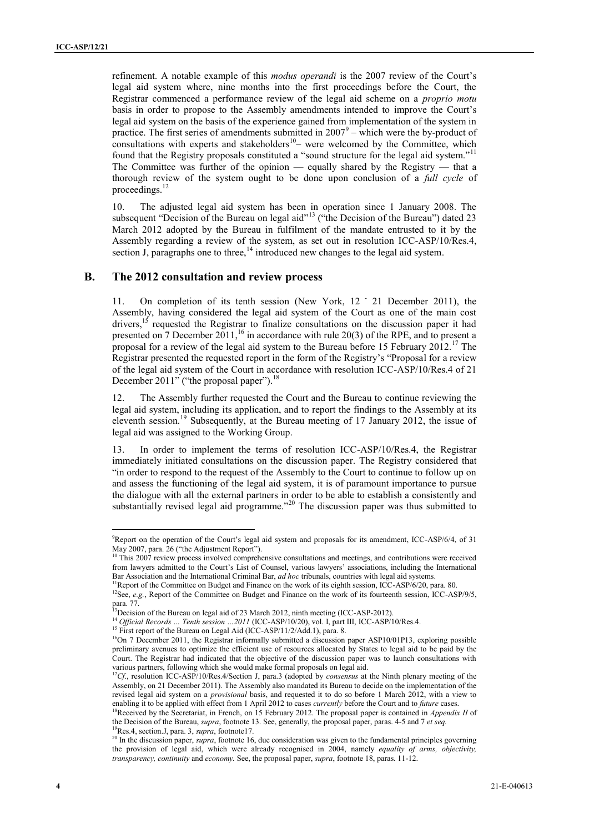refinement. A notable example of this *modus operandi* is the 2007 review of the Court's legal aid system where, nine months into the first proceedings before the Court, the Registrar commenced a performance review of the legal aid scheme on a *proprio motu* basis in order to propose to the Assembly amendments intended to improve the Court's legal aid system on the basis of the experience gained from implementation of the system in practice. The first series of amendments submitted in  $2007^9$  – which were the by-product of consultations with experts and stakeholders $10$ – were welcomed by the Committee, which found that the Registry proposals constituted a "sound structure for the legal aid system."<sup>11</sup> The Committee was further of the opinion — equally shared by the Registry — that a thorough review of the system ought to be done upon conclusion of a *full cycle* of proceedings.<sup>12</sup>

<span id="page-3-4"></span><span id="page-3-0"></span>10. The adjusted legal aid system has been in operation since 1 January 2008. The subsequent "Decision of the Bureau on legal aid"<sup>13</sup> ("the Decision of the Bureau") dated 23 March 2012 adopted by the Bureau in fulfilment of the mandate entrusted to it by the Assembly regarding a review of the system, as set out in resolution ICC-ASP/10/Res.4, section J, paragraphs one to three,<sup>14</sup> introduced new changes to the legal aid system.

#### **B. The 2012 consultation and review process**

<span id="page-3-2"></span><span id="page-3-1"></span>11. On completion of its tenth session (New York, 12  $\degree$  21 December 2011), the Assembly, having considered the legal aid system of the Court as one of the main cost drivers,<sup>15</sup> requested the Registrar to finalize consultations on the discussion paper it had presented on 7 December 2011,<sup>16</sup> in accordance with rule 20(3) of the RPE, and to present a proposal for a review of the legal aid system to the Bureau before 15 February 2012.<sup>17</sup> The Registrar presented the requested report in the form of the Registry's "Proposal for a review of the legal aid system of the Court in accordance with resolution ICC-ASP/10/Res.4 of 21 December 2011" ("the proposal paper").<sup>18</sup>

<span id="page-3-3"></span>12. The Assembly further requested the Court and the Bureau to continue reviewing the legal aid system, including its application, and to report the findings to the Assembly at its eleventh session.<sup>19</sup> Subsequently, at the Bureau meeting of 17 January 2012, the issue of legal aid was assigned to the Working Group.

13. In order to implement the terms of resolution ICC-ASP/10/Res.4, the Registrar immediately initiated consultations on the discussion paper. The Registry considered that "in order to respond to the request of the Assembly to the Court to continue to follow up on and assess the functioning of the legal aid system, it is of paramount importance to pursue the dialogue with all the external partners in order to be able to establish a consistently and substantially revised legal aid programme."<sup>20</sup> The discussion paper was thus submitted to

<sup>9</sup>Report on the operation of the Court's legal aid system and proposals for its amendment, ICC-ASP/6/4, of 31 May 2007, para. 26 ("the Adjustment Report").

<sup>&</sup>lt;sup>10</sup> This 2007 review process involved comprehensive consultations and meetings, and contributions were received from lawyers admitted to the Court's List of Counsel, various lawyers' associations, including the International Bar Association and the International Criminal Bar, *ad hoc* tribunals, countries with legal aid systems.

<sup>&</sup>lt;sup>11</sup>Report of the Committee on Budget and Finance on the work of its eighth session, ICC-ASP/6/20, para. 80.

<sup>&</sup>lt;sup>12</sup>See, *e.g.*, Report of the Committee on Budget and Finance on the work of its fourteenth session, ICC-ASP/9/5, para. 77.

<sup>&</sup>lt;sup>13</sup>Decision of the Bureau on legal aid of 23 March 2012, ninth meeting (ICC-ASP-2012).

<sup>&</sup>lt;sup>14</sup> Official Records ... Tenth session ...2011 (ICC-ASP/10/20), vol. I, part III, ICC-ASP/10/Res.4.

<sup>&</sup>lt;sup>15</sup> First report of the Bureau on Legal Aid (ICC-ASP/11/2/Add.1), para. 8.

<sup>&</sup>lt;sup>16</sup>On 7 December 2011, the Registrar informally submitted a discussion paper ASP10/01P13, exploring possible preliminary avenues to optimize the efficient use of resources allocated by States to legal aid to be paid by the Court. The Registrar had indicated that the objective of the discussion paper was to launch consultations with various partners, following which she would make formal proposals on legal aid.

<sup>&</sup>lt;sup>17</sup>Cf., resolution ICC-ASP/10/Res.4/Section J, para.3 (adopted by *consensus* at the Ninth plenary meeting of the Assembly, on 21 December 2011). The Assembly also mandated its Bureau to decide on the implementation of the revised legal aid system on a *provisional* basis, and requested it to do so before 1 March 2012, with a view to enabling it to be applied with effect from 1 April 2012 to cases *currently* before the Court and to *future* cases.

<sup>&</sup>lt;sup>18</sup>Received by the Secretariat, in French, on 15 February 2012. The proposal paper is contained in *Appendix II* of the Decision of the Bureau, *supra*, footnot[e 13.](#page-3-0) See, generally, the proposal paper, paras. 4-5 and 7 *et seq.* <sup>19</sup>Res.4, section.J, para. 3, *supra*, footnot[e17.](#page-3-1)

<sup>&</sup>lt;sup>20</sup> In the discussion paper, *supra*, footnot[e 16,](#page-3-2) due consideration was given to the fundamental principles governing the provision of legal aid, which were already recognised in 2004, namely *equality of arms, objectivity, transparency, continuity* and *economy.* See, the proposal paper, *supra*, footnot[e 18,](#page-3-3) paras. 11-12.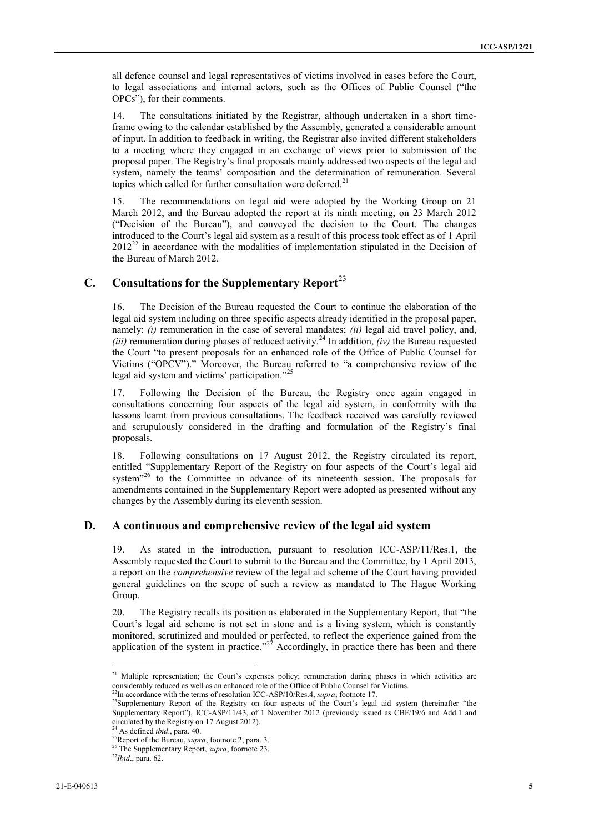all defence counsel and legal representatives of victims involved in cases before the Court, to legal associations and internal actors, such as the Offices of Public Counsel ("the OPCs"), for their comments.

14. The consultations initiated by the Registrar, although undertaken in a short timeframe owing to the calendar established by the Assembly, generated a considerable amount of input. In addition to feedback in writing, the Registrar also invited different stakeholders to a meeting where they engaged in an exchange of views prior to submission of the proposal paper. The Registry's final proposals mainly addressed two aspects of the legal aid system, namely the teams' composition and the determination of remuneration. Several topics which called for further consultation were deferred.<sup>21</sup>

15. The recommendations on legal aid were adopted by the Working Group on 21 March 2012, and the Bureau adopted the report at its ninth meeting, on 23 March 2012 ("Decision of the Bureau"), and conveyed the decision to the Court. The changes introduced to the Court's legal aid system as a result of this process took effect as of 1 April  $2012^{22}$  in accordance with the modalities of implementation stipulated in the Decision of the Bureau of March 2012.

## **C. Consultations for the Supplementary Report**<sup>23</sup>

<span id="page-4-0"></span>16. The Decision of the Bureau requested the Court to continue the elaboration of the legal aid system including on three specific aspects already identified in the proposal paper, namely: *(i)* remuneration in the case of several mandates; *(ii)* legal aid travel policy, and, *(iii)* remuneration during phases of reduced activity.<sup>24</sup> In addition, *(iv)* the Bureau requested the Court "to present proposals for an enhanced role of the Office of Public Counsel for Victims ("OPCV")." Moreover, the Bureau referred to "a comprehensive review of the legal aid system and victims' participation."<sup>25</sup>

17. Following the Decision of the Bureau, the Registry once again engaged in consultations concerning four aspects of the legal aid system, in conformity with the lessons learnt from previous consultations. The feedback received was carefully reviewed and scrupulously considered in the drafting and formulation of the Registry's final proposals.

18. Following consultations on 17 August 2012, the Registry circulated its report, entitled "Supplementary Report of the Registry on four aspects of the Court's legal aid system"<sup>26</sup> to the Committee in advance of its nineteenth session. The proposals for amendments contained in the Supplementary Report were adopted as presented without any changes by the Assembly during its eleventh session.

#### **D. A continuous and comprehensive review of the legal aid system**

19. As stated in the introduction, pursuant to resolution ICC-ASP/11/Res.1, the Assembly requested the Court to submit to the Bureau and the Committee, by 1 April 2013, a report on the *comprehensive* review of the legal aid scheme of the Court having provided general guidelines on the scope of such a review as mandated to The Hague Working Group.

20. The Registry recalls its position as elaborated in the Supplementary Report, that "the Court's legal aid scheme is not set in stone and is a living system, which is constantly monitored, scrutinized and moulded or perfected, to reflect the experience gained from the application of the system in practice."<sup>27</sup> Accordingly, in practice there has been and there

<sup>&</sup>lt;sup>21</sup> Multiple representation; the Court's expenses policy; remuneration during phases in which activities are considerably reduced as well as an enhanced role of the Office of Public Counsel for Victims.

<sup>22</sup>In accordance with the terms of resolution ICC-ASP/10/Res.4, *supra*, footnot[e 17.](#page-3-1)

<sup>&</sup>lt;sup>23</sup>Supplementary Report of the Registry on four aspects of the Court's legal aid system (hereinafter "the Supplementary Report"), ICC-ASP/11/43, of 1 November 2012 (previously issued as CBF/19/6 and Add.1 and circulated by the Registry on 17 August 2012).

<sup>24</sup> As defined *ibid*., para. 40.

<sup>25</sup>Report of the Bureau, *supra*, footnot[e 2,](#page-1-0) para. 3.

<sup>26</sup> The Supplementary Report, *supra*, foornot[e 23.](#page-4-0)

<sup>27</sup>*Ibid*., para. 62.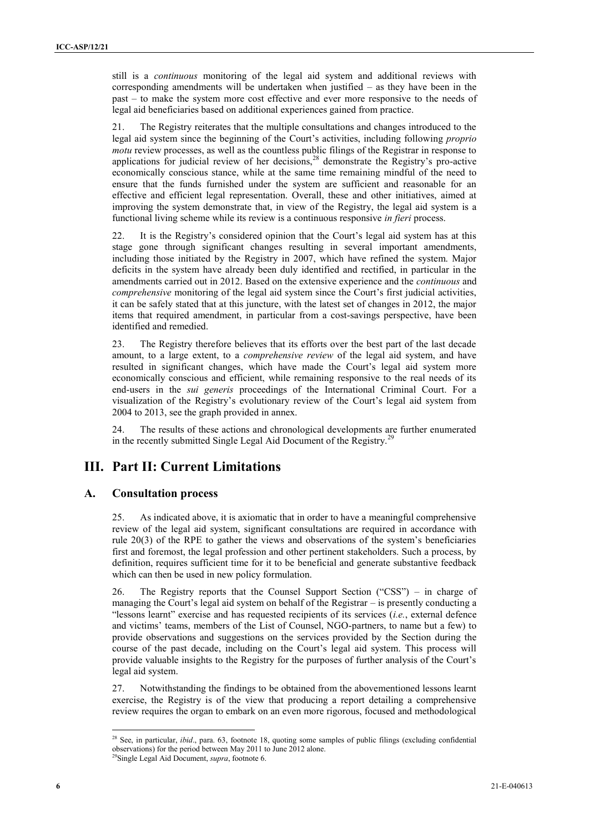still is a *continuous* monitoring of the legal aid system and additional reviews with corresponding amendments will be undertaken when justified – as they have been in the past – to make the system more cost effective and ever more responsive to the needs of legal aid beneficiaries based on additional experiences gained from practice.

21. The Registry reiterates that the multiple consultations and changes introduced to the legal aid system since the beginning of the Court's activities, including following *proprio motu* review processes, as well as the countless public filings of the Registrar in response to applications for judicial review of her decisions,<sup>28</sup> demonstrate the Registry's pro-active economically conscious stance, while at the same time remaining mindful of the need to ensure that the funds furnished under the system are sufficient and reasonable for an effective and efficient legal representation. Overall, these and other initiatives, aimed at improving the system demonstrate that, in view of the Registry, the legal aid system is a functional living scheme while its review is a continuous responsive *in fieri* process.

22. It is the Registry's considered opinion that the Court's legal aid system has at this stage gone through significant changes resulting in several important amendments, including those initiated by the Registry in 2007, which have refined the system. Major deficits in the system have already been duly identified and rectified, in particular in the amendments carried out in 2012. Based on the extensive experience and the *continuous* and *comprehensive* monitoring of the legal aid system since the Court's first judicial activities, it can be safely stated that at this juncture, with the latest set of changes in 2012, the major items that required amendment, in particular from a cost-savings perspective, have been identified and remedied.

23. The Registry therefore believes that its efforts over the best part of the last decade amount, to a large extent, to a *comprehensive review* of the legal aid system, and have resulted in significant changes, which have made the Court's legal aid system more economically conscious and efficient, while remaining responsive to the real needs of its end-users in the *sui generis* proceedings of the International Criminal Court. For a visualization of the Registry's evolutionary review of the Court's legal aid system from 2004 to 2013, see the graph provided in annex.

24. The results of these actions and chronological developments are further enumerated in the recently submitted Single Legal Aid Document of the Registry.<sup>29</sup>

## **III. Part II: Current Limitations**

#### **A. Consultation process**

25. As indicated above, it is axiomatic that in order to have a meaningful comprehensive review of the legal aid system, significant consultations are required in accordance with rule 20(3) of the RPE to gather the views and observations of the system's beneficiaries first and foremost, the legal profession and other pertinent stakeholders. Such a process, by definition, requires sufficient time for it to be beneficial and generate substantive feedback which can then be used in new policy formulation.

26. The Registry reports that the Counsel Support Section ("CSS") – in charge of managing the Court's legal aid system on behalf of the Registrar – is presently conducting a "lessons learnt" exercise and has requested recipients of its services (*i.e.*, external defence and victims' teams, members of the List of Counsel, NGO-partners, to name but a few) to provide observations and suggestions on the services provided by the Section during the course of the past decade, including on the Court's legal aid system. This process will provide valuable insights to the Registry for the purposes of further analysis of the Court's legal aid system.

27. Notwithstanding the findings to be obtained from the abovementioned lessons learnt exercise, the Registry is of the view that producing a report detailing a comprehensive review requires the organ to embark on an even more rigorous, focused and methodological

<sup>&</sup>lt;sup>28</sup> See, in particular, *ibid.*, para. 63, footnote 18, quoting some samples of public filings (excluding confidential observations) for the period between May 2011 to June 2012 alone. <sup>29</sup>Single Legal Aid Document, *supra*, footnot[e 6.](#page-2-0)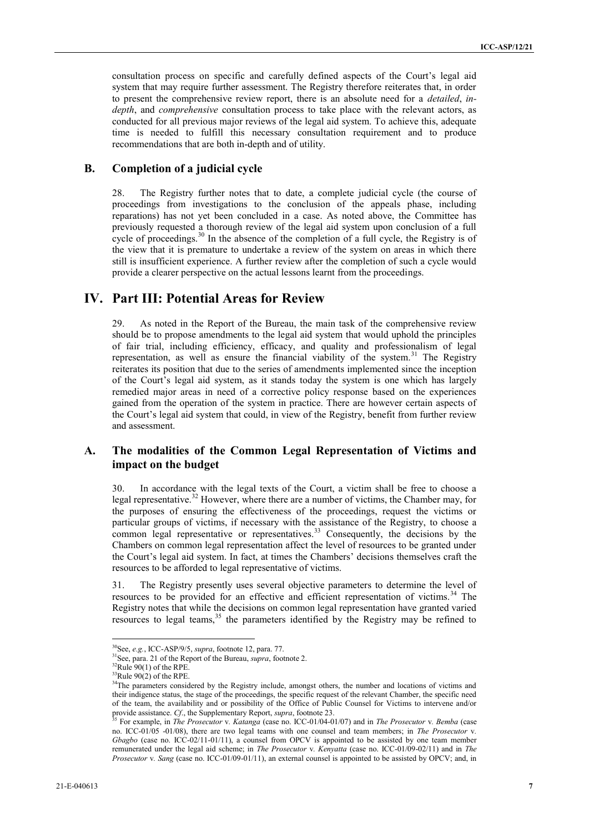consultation process on specific and carefully defined aspects of the Court's legal aid system that may require further assessment. The Registry therefore reiterates that, in order to present the comprehensive review report, there is an absolute need for a *detailed*, *indepth*, and *comprehensive* consultation process to take place with the relevant actors, as conducted for all previous major reviews of the legal aid system. To achieve this, adequate time is needed to fulfill this necessary consultation requirement and to produce recommendations that are both in-depth and of utility.

#### **B. Completion of a judicial cycle**

28. The Registry further notes that to date, a complete judicial cycle (the course of proceedings from investigations to the conclusion of the appeals phase, including reparations) has not yet been concluded in a case. As noted above, the Committee has previously requested a thorough review of the legal aid system upon conclusion of a full cycle of proceedings.<sup>30</sup> In the absence of the completion of a full cycle, the Registry is of the view that it is premature to undertake a review of the system on areas in which there still is insufficient experience. A further review after the completion of such a cycle would provide a clearer perspective on the actual lessons learnt from the proceedings.

## **IV. Part III: Potential Areas for Review**

29. As noted in the Report of the Bureau, the main task of the comprehensive review should be to propose amendments to the legal aid system that would uphold the principles of fair trial, including efficiency, efficacy, and quality and professionalism of legal representation, as well as ensure the financial viability of the system.<sup>31</sup> The Registry reiterates its position that due to the series of amendments implemented since the inception of the Court's legal aid system, as it stands today the system is one which has largely remedied major areas in need of a corrective policy response based on the experiences gained from the operation of the system in practice. There are however certain aspects of the Court's legal aid system that could, in view of the Registry, benefit from further review and assessment.

#### **A. The modalities of the Common Legal Representation of Victims and impact on the budget**

30. In accordance with the legal texts of the Court, a victim shall be free to choose a legal representative.<sup>32</sup> However, where there are a number of victims, the Chamber may, for the purposes of ensuring the effectiveness of the proceedings, request the victims or particular groups of victims, if necessary with the assistance of the Registry, to choose a common legal representative or representatives.<sup>33</sup> Consequently, the decisions by the Chambers on common legal representation affect the level of resources to be granted under the Court's legal aid system. In fact, at times the Chambers' decisions themselves craft the resources to be afforded to legal representative of victims.

31. The Registry presently uses several objective parameters to determine the level of resources to be provided for an effective and efficient representation of victims.<sup>34</sup> The Registry notes that while the decisions on common legal representation have granted varied resources to legal teams,<sup>35</sup> the parameters identified by the Registry may be refined to

<span id="page-6-0"></span><sup>30</sup>See, *e.g.*, ICC-ASP/9/5, *supra*, footnot[e 12,](#page-3-4) para. 77.

<sup>31</sup>See, para. 21 of the Report of the Bureau, *supra*, footnot[e 2.](#page-1-0)

 $32$ Rule 90(1) of the RPE.

 $33$ Rule  $90(2)$  of the RPE.

<sup>&</sup>lt;sup>34</sup>The parameters considered by the Registry include, amongst others, the number and locations of victims and their indigence status, the stage of the proceedings, the specific request of the relevant Chamber, the specific need of the team, the availability and or possibility of the Office of Public Counsel for Victims to intervene and/or provide assistance. *Cf*., the Supplementary Report, *supra*, footnot[e 23.](#page-4-0)

<sup>35</sup> For example, in *The Prosecutor* v*. Katanga* (case no. ICC-01/04-01/07) and in *The Prosecutor* v*. Bemba* (case no. ICC-01/05 -01/08), there are two legal teams with one counsel and team members; in *The Prosecutor* v*. Gbagbo* (case no. ICC-02/11-01/11), a counsel from OPCV is appointed to be assisted by one team member remunerated under the legal aid scheme; in *The Prosecutor* v*. Kenyatta* (case no. ICC-01/09-02/11) and in *The Prosecutor* v*. Sang* (case no. ICC-01/09-01/11), an external counsel is appointed to be assisted by OPCV; and, in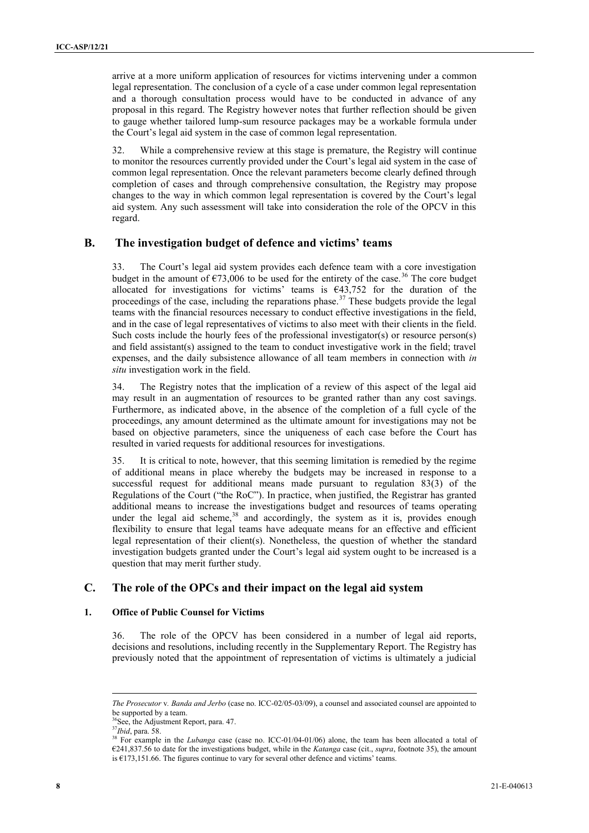arrive at a more uniform application of resources for victims intervening under a common legal representation. The conclusion of a cycle of a case under common legal representation and a thorough consultation process would have to be conducted in advance of any proposal in this regard. The Registry however notes that further reflection should be given to gauge whether tailored lump-sum resource packages may be a workable formula under the Court's legal aid system in the case of common legal representation.

32. While a comprehensive review at this stage is premature, the Registry will continue to monitor the resources currently provided under the Court's legal aid system in the case of common legal representation. Once the relevant parameters become clearly defined through completion of cases and through comprehensive consultation, the Registry may propose changes to the way in which common legal representation is covered by the Court's legal aid system. Any such assessment will take into consideration the role of the OPCV in this regard.

#### **B. The investigation budget of defence and victims' teams**

33. The Court's legal aid system provides each defence team with a core investigation budget in the amount of  $\epsilon$ 73,006 to be used for the entirety of the case.<sup>36</sup> The core budget allocated for investigations for victims' teams is €43,752 for the duration of the proceedings of the case, including the reparations phase.<sup>37</sup> These budgets provide the legal teams with the financial resources necessary to conduct effective investigations in the field, and in the case of legal representatives of victims to also meet with their clients in the field. Such costs include the hourly fees of the professional investigator(s) or resource person(s) and field assistant(s) assigned to the team to conduct investigative work in the field; travel expenses, and the daily subsistence allowance of all team members in connection with *in situ* investigation work in the field.

34. The Registry notes that the implication of a review of this aspect of the legal aid may result in an augmentation of resources to be granted rather than any cost savings. Furthermore, as indicated above, in the absence of the completion of a full cycle of the proceedings, any amount determined as the ultimate amount for investigations may not be based on objective parameters, since the uniqueness of each case before the Court has resulted in varied requests for additional resources for investigations.

35. It is critical to note, however, that this seeming limitation is remedied by the regime of additional means in place whereby the budgets may be increased in response to a successful request for additional means made pursuant to regulation 83(3) of the Regulations of the Court ("the RoC"). In practice, when justified, the Registrar has granted additional means to increase the investigations budget and resources of teams operating under the legal aid scheme,<sup>38</sup> and accordingly, the system as it is, provides enough flexibility to ensure that legal teams have adequate means for an effective and efficient legal representation of their client(s). Nonetheless, the question of whether the standard investigation budgets granted under the Court's legal aid system ought to be increased is a question that may merit further study.

#### **C. The role of the OPCs and their impact on the legal aid system**

#### **1. Office of Public Counsel for Victims**

36. The role of the OPCV has been considered in a number of legal aid reports, decisions and resolutions, including recently in the Supplementary Report. The Registry has previously noted that the appointment of representation of victims is ultimately a judicial

*The Prosecutor* v*. Banda and Jerbo* (case no. ICC-02/05-03/09), a counsel and associated counsel are appointed to be supported by a team.

 ${}^{6}$ See, the Adjustment Report, para. 47.

<sup>37</sup>*Ibid*, para. 58.

<sup>&</sup>lt;sup>38</sup> For example in the *Lubanga* case (case no. ICC-01/04-01/06) alone, the team has been allocated a total of €241,837.56 to date for the investigations budget, while in the *Katanga* case (cit., *supra*, footnote [35\)](#page-6-0), the amount is  $\epsilon$ 173,151.66. The figures continue to vary for several other defence and victims' teams.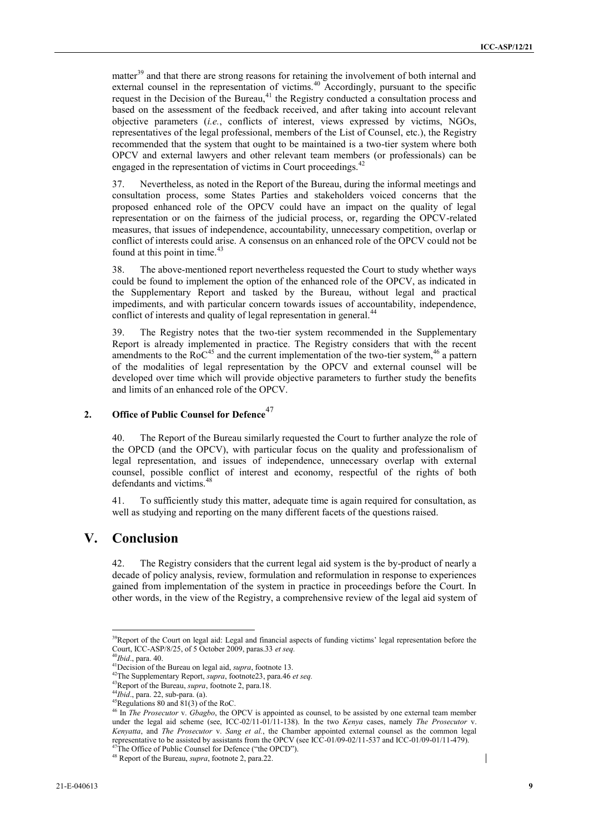matter<sup>39</sup> and that there are strong reasons for retaining the involvement of both internal and external counsel in the representation of victims.<sup>40</sup> Accordingly, pursuant to the specific request in the Decision of the Bureau, $41$  the Registry conducted a consultation process and based on the assessment of the feedback received, and after taking into account relevant objective parameters (*i.e.*, conflicts of interest, views expressed by victims, NGOs, representatives of the legal professional, members of the List of Counsel, etc.), the Registry recommended that the system that ought to be maintained is a two-tier system where both OPCV and external lawyers and other relevant team members (or professionals) can be engaged in the representation of victims in Court proceedings.<sup>42</sup>

37. Nevertheless, as noted in the Report of the Bureau, during the informal meetings and consultation process, some States Parties and stakeholders voiced concerns that the proposed enhanced role of the OPCV could have an impact on the quality of legal representation or on the fairness of the judicial process, or, regarding the OPCV-related measures, that issues of independence, accountability, unnecessary competition, overlap or conflict of interests could arise. A consensus on an enhanced role of the OPCV could not be found at this point in time. $43$ 

38. The above-mentioned report nevertheless requested the Court to study whether ways could be found to implement the option of the enhanced role of the OPCV, as indicated in the Supplementary Report and tasked by the Bureau, without legal and practical impediments, and with particular concern towards issues of accountability, independence, conflict of interests and quality of legal representation in general.<sup>44</sup>

39. The Registry notes that the two-tier system recommended in the Supplementary Report is already implemented in practice. The Registry considers that with the recent amendments to the  $RoC^{45}$  and the current implementation of the two-tier system,<sup>46</sup> a pattern of the modalities of legal representation by the OPCV and external counsel will be developed over time which will provide objective parameters to further study the benefits and limits of an enhanced role of the OPCV.

## **2. Office of Public Counsel for Defence**<sup>47</sup>

40. The Report of the Bureau similarly requested the Court to further analyze the role of the OPCD (and the OPCV), with particular focus on the quality and professionalism of legal representation, and issues of independence, unnecessary overlap with external counsel, possible conflict of interest and economy, respectful of the rights of both defendants and victims.<sup>4</sup>

41. To sufficiently study this matter, adequate time is again required for consultation, as well as studying and reporting on the many different facets of the questions raised.

## **V. Conclusion**

42. The Registry considers that the current legal aid system is the by-product of nearly a decade of policy analysis, review, formulation and reformulation in response to experiences gained from implementation of the system in practice in proceedings before the Court. In other words, in the view of the Registry, a comprehensive review of the legal aid system of

 $\overline{a}$ 

 $\overline{\phantom{a}}$ 

<sup>&</sup>lt;sup>39</sup>Report of the Court on legal aid: Legal and financial aspects of funding victims' legal representation before the Court, ICC-ASP/8/25, of 5 October 2009, paras.33 *et seq.*

<sup>40</sup>*Ibid*., para. 40.

<sup>41</sup>Decision of the Bureau on legal aid, *supra*, footnot[e 13.](#page-3-0)

<sup>42</sup>The Supplementary Report, *supra*, footnot[e23,](#page-4-0) para.46 *et seq.*

<sup>43</sup>Report of the Bureau, *supra*, footnot[e 2,](#page-1-0) para.18.

<sup>44</sup>*Ibid*., para. 22, sub-para. (a).

<sup>45</sup>Regulations 80 and 81(3) of the RoC.

<sup>46</sup> In *The Prosecutor* v. *Gbagbo*, the OPCV is appointed as counsel, to be assisted by one external team member under the legal aid scheme (see, ICC-02/11-01/11-138). In the two *Kenya* cases, namely *The Prosecutor* v. *Kenyatta*, and *The Prosecutor* v. *Sang et al.*, the Chamber appointed external counsel as the common legal representative to be assisted by assistants from the OPCV (see ICC-01/09-02/11-537 and ICC-01/09-01/11-479).

<sup>&</sup>lt;sup>47</sup>The Office of Public Counsel for Defence ("the OPCD").

<sup>48</sup> Report of the Bureau, *supra*, footnot[e 2,](#page-1-0) para.22.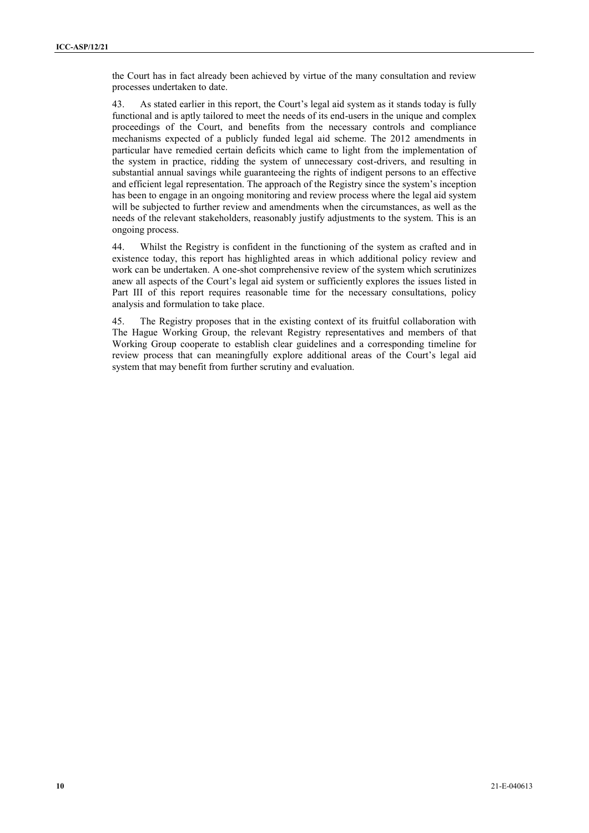the Court has in fact already been achieved by virtue of the many consultation and review processes undertaken to date.

43. As stated earlier in this report, the Court's legal aid system as it stands today is fully functional and is aptly tailored to meet the needs of its end-users in the unique and complex proceedings of the Court, and benefits from the necessary controls and compliance mechanisms expected of a publicly funded legal aid scheme. The 2012 amendments in particular have remedied certain deficits which came to light from the implementation of the system in practice, ridding the system of unnecessary cost-drivers, and resulting in substantial annual savings while guaranteeing the rights of indigent persons to an effective and efficient legal representation. The approach of the Registry since the system's inception has been to engage in an ongoing monitoring and review process where the legal aid system will be subjected to further review and amendments when the circumstances, as well as the needs of the relevant stakeholders, reasonably justify adjustments to the system. This is an ongoing process.

44. Whilst the Registry is confident in the functioning of the system as crafted and in existence today, this report has highlighted areas in which additional policy review and work can be undertaken. A one-shot comprehensive review of the system which scrutinizes anew all aspects of the Court's legal aid system or sufficiently explores the issues listed in Part III of this report requires reasonable time for the necessary consultations, policy analysis and formulation to take place.

45. The Registry proposes that in the existing context of its fruitful collaboration with The Hague Working Group, the relevant Registry representatives and members of that Working Group cooperate to establish clear guidelines and a corresponding timeline for review process that can meaningfully explore additional areas of the Court's legal aid system that may benefit from further scrutiny and evaluation.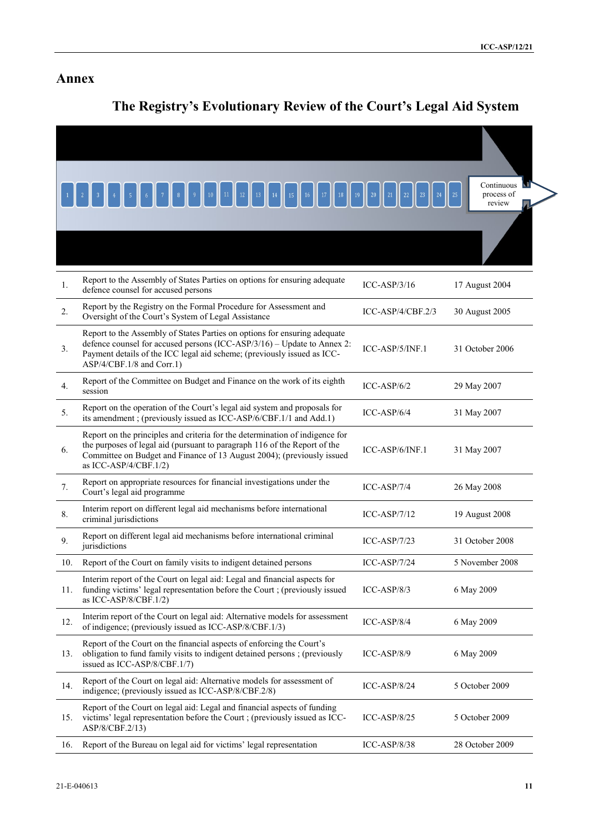# **Annex**

# **The Registry's Evolutionary Review of the Court's Legal Aid System**

|     | 18                                                                                                                                                                                                                                                           | 19 <sup>°</sup><br>$^{20}$<br>21<br>$22\,$<br>23<br>24 | Continuous<br>process of<br>25<br>review |
|-----|--------------------------------------------------------------------------------------------------------------------------------------------------------------------------------------------------------------------------------------------------------------|--------------------------------------------------------|------------------------------------------|
|     |                                                                                                                                                                                                                                                              |                                                        |                                          |
| 1.  | Report to the Assembly of States Parties on options for ensuring adequate<br>defence counsel for accused persons                                                                                                                                             | $ICC-ASP/3/16$                                         | 17 August 2004                           |
| 2.  | Report by the Registry on the Formal Procedure for Assessment and<br>Oversight of the Court's System of Legal Assistance                                                                                                                                     | ICC-ASP/4/CBF.2/3                                      | 30 August 2005                           |
| 3.  | Report to the Assembly of States Parties on options for ensuring adequate<br>defence counsel for accused persons (ICC-ASP/3/16) - Update to Annex 2:<br>Payment details of the ICC legal aid scheme; (previously issued as ICC-<br>ASP/4/CBF.1/8 and Corr.1) | ICC-ASP/5/INF.1                                        | 31 October 2006                          |
| 4.  | Report of the Committee on Budget and Finance on the work of its eighth<br>session                                                                                                                                                                           | $ICC-ASP/6/2$                                          | 29 May 2007                              |
| 5.  | Report on the operation of the Court's legal aid system and proposals for<br>its amendment; (previously issued as ICC-ASP/6/CBF.1/1 and Add.1)                                                                                                               | $ICC-ASP/6/4$                                          | 31 May 2007                              |
| 6.  | Report on the principles and criteria for the determination of indigence for<br>the purposes of legal aid (pursuant to paragraph 116 of the Report of the<br>Committee on Budget and Finance of 13 August 2004); (previously issued<br>as ICC-ASP/4/CBF.1/2) | ICC-ASP/6/INF.1                                        | 31 May 2007                              |
| 7.  | Report on appropriate resources for financial investigations under the<br>Court's legal aid programme                                                                                                                                                        | $ICC-ASP/7/4$                                          | 26 May 2008                              |
| 8.  | Interim report on different legal aid mechanisms before international<br>criminal jurisdictions                                                                                                                                                              | $ICC-ASP/7/12$                                         | 19 August 2008                           |
| 9.  | Report on different legal aid mechanisms before international criminal<br>jurisdictions                                                                                                                                                                      | $ICC-ASP/7/23$                                         | 31 October 2008                          |
| 10. | Report of the Court on family visits to indigent detained persons                                                                                                                                                                                            | $ICC-ASP/7/24$                                         | 5 November 2008                          |
| 11. | Interim report of the Court on legal aid: Legal and financial aspects for<br>funding victims' legal representation before the Court ; (previously issued<br>as ICC-ASP/8/CBF.1/2)                                                                            | $ICC-ASP/8/3$                                          | 6 May 2009                               |
| 12. | Interim report of the Court on legal aid: Alternative models for assessment<br>of indigence; (previously issued as ICC-ASP/8/CBF.1/3)                                                                                                                        | ICC-ASP/8/4                                            | 6 May 2009                               |
| 13. | Report of the Court on the financial aspects of enforcing the Court's<br>obligation to fund family visits to indigent detained persons; (previously<br>issued as ICC-ASP/8/CBF.1/7)                                                                          | ICC-ASP/8/9                                            | 6 May 2009                               |
| 14. | Report of the Court on legal aid: Alternative models for assessment of<br>indigence; (previously issued as ICC-ASP/8/CBF.2/8)                                                                                                                                | ICC-ASP/8/24                                           | 5 October 2009                           |
| 15. | Report of the Court on legal aid: Legal and financial aspects of funding<br>victims' legal representation before the Court ; (previously issued as ICC-<br>ASP/8/CBF.2/13)                                                                                   | $ICC-ASP/8/25$                                         | 5 October 2009                           |
| 16. | Report of the Bureau on legal aid for victims' legal representation                                                                                                                                                                                          | $ICC-ASP/8/38$                                         | 28 October 2009                          |
|     |                                                                                                                                                                                                                                                              |                                                        |                                          |